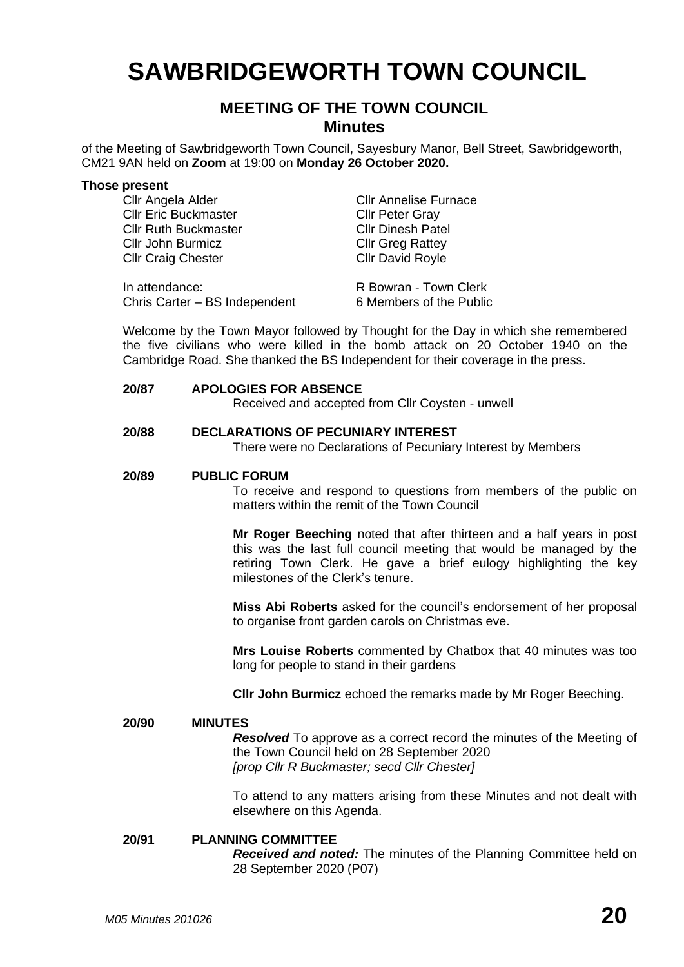# **SAWBRIDGEWORTH TOWN COUNCIL**

# **MEETING OF THE TOWN COUNCIL Minutes**

of the Meeting of Sawbridgeworth Town Council, Sayesbury Manor, Bell Street, Sawbridgeworth, CM21 9AN held on **Zoom** at 19:00 on **Monday 26 October 2020.**

#### **Those present**

| Cllr Angela Alder             | <b>CIIr Annelise Furnace</b> |
|-------------------------------|------------------------------|
| <b>Cllr Eric Buckmaster</b>   | <b>Cllr Peter Gray</b>       |
| <b>Cllr Ruth Buckmaster</b>   | <b>Cllr Dinesh Patel</b>     |
| Cllr John Burmicz             | <b>Cllr Greg Rattey</b>      |
| <b>Cllr Craig Chester</b>     | <b>Cllr David Royle</b>      |
| In attendance:                | R Bowran - Town Clerk        |
|                               |                              |
| Chris Carter - BS Independent | 6 Members of the Public      |

Welcome by the Town Mayor followed by Thought for the Day in which she remembered the five civilians who were killed in the bomb attack on 20 October 1940 on the Cambridge Road. She thanked the BS Independent for their coverage in the press.

# **20/87 APOLOGIES FOR ABSENCE**

Received and accepted from Cllr Coysten - unwell

# **20/88 DECLARATIONS OF PECUNIARY INTEREST**

There were no Declarations of Pecuniary Interest by Members

### **20/89 PUBLIC FORUM**

To receive and respond to questions from members of the public on matters within the remit of the Town Council

**Mr Roger Beeching** noted that after thirteen and a half years in post this was the last full council meeting that would be managed by the retiring Town Clerk. He gave a brief eulogy highlighting the key milestones of the Clerk's tenure.

**Miss Abi Roberts** asked for the council's endorsement of her proposal to organise front garden carols on Christmas eve.

**Mrs Louise Roberts** commented by Chatbox that 40 minutes was too long for people to stand in their gardens

**Cllr John Burmicz** echoed the remarks made by Mr Roger Beeching.

#### **20/90 MINUTES**

*Resolved* To approve as a correct record the minutes of the Meeting of the Town Council held on 28 September 2020 *[prop Cllr R Buckmaster; secd Cllr Chester]*

To attend to any matters arising from these Minutes and not dealt with elsewhere on this Agenda.

# **20/91 PLANNING COMMITTEE**

*Received and noted:* The minutes of the Planning Committee held on 28 September 2020 (P07)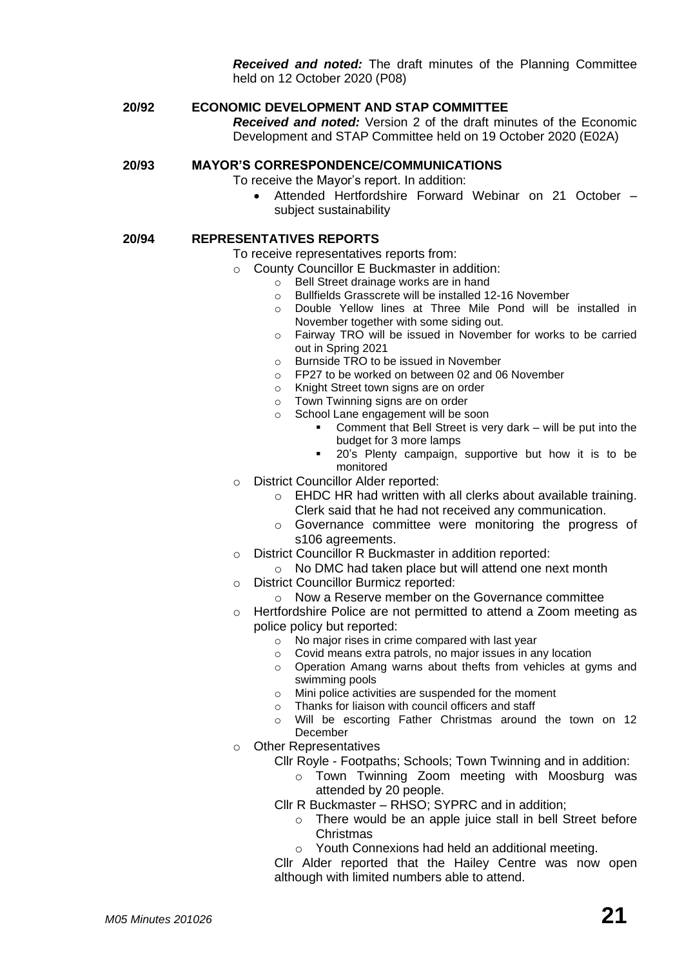*Received and noted:* The draft minutes of the Planning Committee held on 12 October 2020 (P08)

# **20/92 ECONOMIC DEVELOPMENT AND STAP COMMITTEE**

*Received and noted:* Version 2 of the draft minutes of the Economic Development and STAP Committee held on 19 October 2020 (E02A)

## **20/93 MAYOR'S CORRESPONDENCE/COMMUNICATIONS**

To receive the Mayor's report. In addition:

• Attended Hertfordshire Forward Webinar on 21 October – subject sustainability

## **20/94 REPRESENTATIVES REPORTS**

To receive representatives reports from:

- o County Councillor E Buckmaster in addition:
	- o Bell Street drainage works are in hand<br>
	o Bullfields Grasscrete will be installed 1
		- Bullfields Grasscrete will be installed 12-16 November
		- o Double Yellow lines at Three Mile Pond will be installed in November together with some siding out.
		- o Fairway TRO will be issued in November for works to be carried out in Spring 2021
	- o Burnside TRO to be issued in November
	- o FP27 to be worked on between 02 and 06 November
	- o Knight Street town signs are on order
	- o Town Twinning signs are on order
	- o School Lane engagement will be soon
		- Comment that Bell Street is very dark will be put into the budget for 3 more lamps
		- 20's Plenty campaign, supportive but how it is to be monitored
- o District Councillor Alder reported:
	- o EHDC HR had written with all clerks about available training. Clerk said that he had not received any communication.
	- o Governance committee were monitoring the progress of s106 agreements.
- o District Councillor R Buckmaster in addition reported:
	- o No DMC had taken place but will attend one next month
- o District Councillor Burmicz reported:
	- o Now a Reserve member on the Governance committee
- o Hertfordshire Police are not permitted to attend a Zoom meeting as police policy but reported:
	- o No major rises in crime compared with last year
	- o Covid means extra patrols, no major issues in any location
	- o Operation Amang warns about thefts from vehicles at gyms and swimming pools
	- o Mini police activities are suspended for the moment
	- o Thanks for liaison with council officers and staff
	- o Will be escorting Father Christmas around the town on 12 December
- o Other Representatives
	- Cllr Royle Footpaths; Schools; Town Twinning and in addition:
		- o Town Twinning Zoom meeting with Moosburg was attended by 20 people.

Cllr R Buckmaster *–* RHSO; SYPRC and in addition;

- o There would be an apple juice stall in bell Street before **Christmas**
- o Youth Connexions had held an additional meeting.

Cllr Alder reported that the Hailey Centre was now open although with limited numbers able to attend.